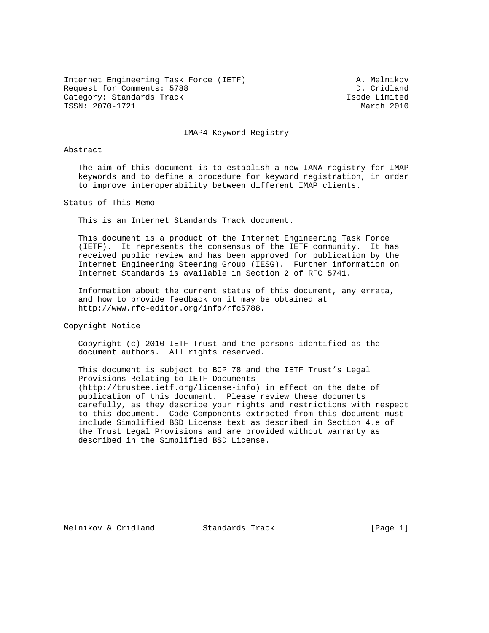Internet Engineering Task Force (IETF) A. Melnikov Request for Comments: 5788 D. Cridland Category: Standards Track and the Category: Standards Track Isode Limited Isode Limited<br>
ISSN: 2070-1721 March 2010 ISSN: 2070-1721

IMAP4 Keyword Registry

### Abstract

 The aim of this document is to establish a new IANA registry for IMAP keywords and to define a procedure for keyword registration, in order to improve interoperability between different IMAP clients.

Status of This Memo

This is an Internet Standards Track document.

 This document is a product of the Internet Engineering Task Force (IETF). It represents the consensus of the IETF community. It has received public review and has been approved for publication by the Internet Engineering Steering Group (IESG). Further information on Internet Standards is available in Section 2 of RFC 5741.

 Information about the current status of this document, any errata, and how to provide feedback on it may be obtained at http://www.rfc-editor.org/info/rfc5788.

Copyright Notice

 Copyright (c) 2010 IETF Trust and the persons identified as the document authors. All rights reserved.

 This document is subject to BCP 78 and the IETF Trust's Legal Provisions Relating to IETF Documents (http://trustee.ietf.org/license-info) in effect on the date of publication of this document. Please review these documents carefully, as they describe your rights and restrictions with respect to this document. Code Components extracted from this document must include Simplified BSD License text as described in Section 4.e of the Trust Legal Provisions and are provided without warranty as described in the Simplified BSD License.

Melnikov & Cridland Standards Track [Page 1]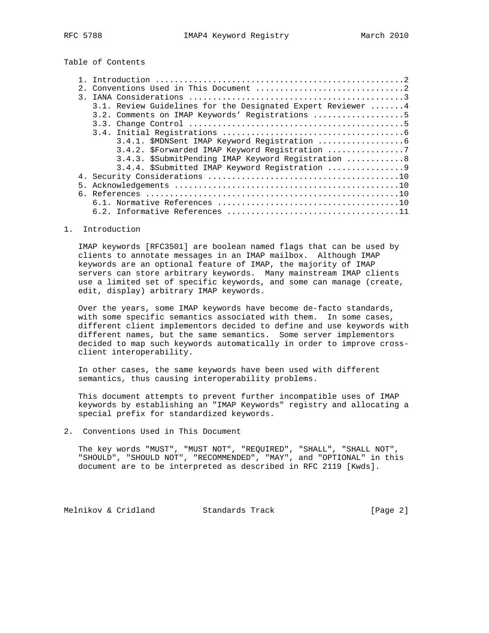# Table of Contents

| $\mathcal{R}$ |                                                              |
|---------------|--------------------------------------------------------------|
|               | 3.1. Review Guidelines for the Designated Expert Reviewer  4 |
|               | 3.2. Comments on IMAP Keywords' Registrations 5              |
|               |                                                              |
|               |                                                              |
|               |                                                              |
|               | 3.4.2. \$Forwarded IMAP Keyword Registration 7               |
|               | 3.4.3. \$SubmitPending IMAP Keyword Registration 8           |
|               | 3.4.4. \$Submitted IMAP Keyword Registration 9               |
|               |                                                              |
|               |                                                              |
|               |                                                              |
|               |                                                              |
|               |                                                              |

1. Introduction

 IMAP keywords [RFC3501] are boolean named flags that can be used by clients to annotate messages in an IMAP mailbox. Although IMAP keywords are an optional feature of IMAP, the majority of IMAP servers can store arbitrary keywords. Many mainstream IMAP clients use a limited set of specific keywords, and some can manage (create, edit, display) arbitrary IMAP keywords.

 Over the years, some IMAP keywords have become de-facto standards, with some specific semantics associated with them. In some cases, different client implementors decided to define and use keywords with different names, but the same semantics. Some server implementors decided to map such keywords automatically in order to improve cross client interoperability.

 In other cases, the same keywords have been used with different semantics, thus causing interoperability problems.

 This document attempts to prevent further incompatible uses of IMAP keywords by establishing an "IMAP Keywords" registry and allocating a special prefix for standardized keywords.

2. Conventions Used in This Document

 The key words "MUST", "MUST NOT", "REQUIRED", "SHALL", "SHALL NOT", "SHOULD", "SHOULD NOT", "RECOMMENDED", "MAY", and "OPTIONAL" in this document are to be interpreted as described in RFC 2119 [Kwds].

Melnikov & Cridland Standards Track [Page 2]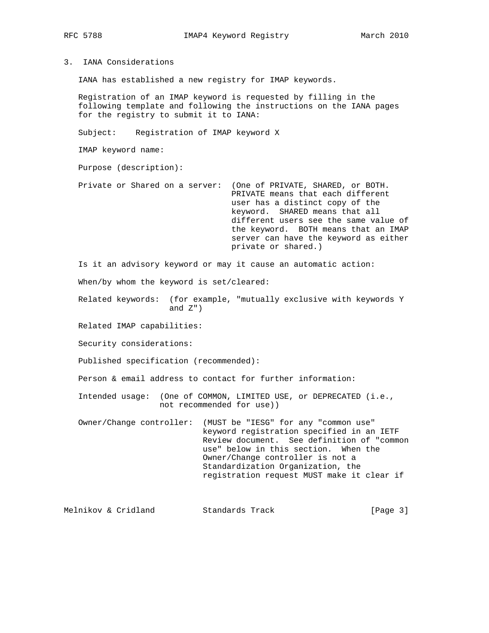3. IANA Considerations

IANA has established a new registry for IMAP keywords.

 Registration of an IMAP keyword is requested by filling in the following template and following the instructions on the IANA pages for the registry to submit it to IANA:

Subject: Registration of IMAP keyword X

IMAP keyword name:

Purpose (description):

 Private or Shared on a server: (One of PRIVATE, SHARED, or BOTH. PRIVATE means that each different user has a distinct copy of the keyword. SHARED means that all different users see the same value of the keyword. BOTH means that an IMAP server can have the keyword as either private or shared.)

Is it an advisory keyword or may it cause an automatic action:

When/by whom the keyword is set/cleared:

 Related keywords: (for example, "mutually exclusive with keywords Y and  $Z'$ )

Related IMAP capabilities:

Security considerations:

Published specification (recommended):

Person & email address to contact for further information:

 Intended usage: (One of COMMON, LIMITED USE, or DEPRECATED (i.e., not recommended for use))

 Owner/Change controller: (MUST be "IESG" for any "common use" keyword registration specified in an IETF Review document. See definition of "common use" below in this section. When the Owner/Change controller is not a Standardization Organization, the registration request MUST make it clear if

Melnikov & Cridland Standards Track [Page 3]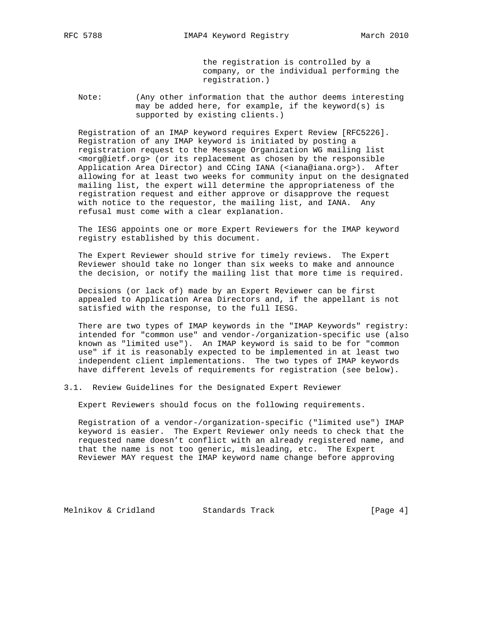the registration is controlled by a company, or the individual performing the registration.)

 Note: (Any other information that the author deems interesting may be added here, for example, if the keyword(s) is supported by existing clients.)

 Registration of an IMAP keyword requires Expert Review [RFC5226]. Registration of any IMAP keyword is initiated by posting a registration request to the Message Organization WG mailing list <morg@ietf.org> (or its replacement as chosen by the responsible Application Area Director) and CCing IANA (<iana@iana.org>). After allowing for at least two weeks for community input on the designated mailing list, the expert will determine the appropriateness of the registration request and either approve or disapprove the request with notice to the requestor, the mailing list, and IANA. Any refusal must come with a clear explanation.

 The IESG appoints one or more Expert Reviewers for the IMAP keyword registry established by this document.

 The Expert Reviewer should strive for timely reviews. The Expert Reviewer should take no longer than six weeks to make and announce the decision, or notify the mailing list that more time is required.

 Decisions (or lack of) made by an Expert Reviewer can be first appealed to Application Area Directors and, if the appellant is not satisfied with the response, to the full IESG.

 There are two types of IMAP keywords in the "IMAP Keywords" registry: intended for "common use" and vendor-/organization-specific use (also known as "limited use"). An IMAP keyword is said to be for "common use" if it is reasonably expected to be implemented in at least two independent client implementations. The two types of IMAP keywords have different levels of requirements for registration (see below).

3.1. Review Guidelines for the Designated Expert Reviewer

Expert Reviewers should focus on the following requirements.

 Registration of a vendor-/organization-specific ("limited use") IMAP keyword is easier. The Expert Reviewer only needs to check that the requested name doesn't conflict with an already registered name, and that the name is not too generic, misleading, etc. The Expert Reviewer MAY request the IMAP keyword name change before approving

Melnikov & Cridland Standards Track [Page 4]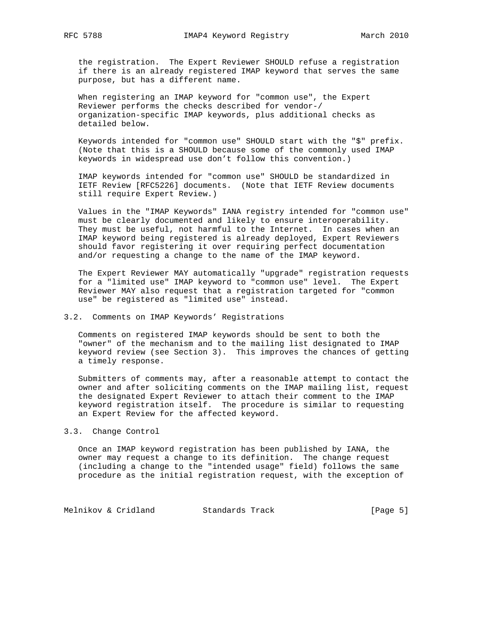the registration. The Expert Reviewer SHOULD refuse a registration if there is an already registered IMAP keyword that serves the same purpose, but has a different name.

 When registering an IMAP keyword for "common use", the Expert Reviewer performs the checks described for vendor-/ organization-specific IMAP keywords, plus additional checks as detailed below.

 Keywords intended for "common use" SHOULD start with the "\$" prefix. (Note that this is a SHOULD because some of the commonly used IMAP keywords in widespread use don't follow this convention.)

 IMAP keywords intended for "common use" SHOULD be standardized in IETF Review [RFC5226] documents. (Note that IETF Review documents still require Expert Review.)

 Values in the "IMAP Keywords" IANA registry intended for "common use" must be clearly documented and likely to ensure interoperability. They must be useful, not harmful to the Internet. In cases when an IMAP keyword being registered is already deployed, Expert Reviewers should favor registering it over requiring perfect documentation and/or requesting a change to the name of the IMAP keyword.

 The Expert Reviewer MAY automatically "upgrade" registration requests for a "limited use" IMAP keyword to "common use" level. The Expert Reviewer MAY also request that a registration targeted for "common use" be registered as "limited use" instead.

## 3.2. Comments on IMAP Keywords' Registrations

 Comments on registered IMAP keywords should be sent to both the "owner" of the mechanism and to the mailing list designated to IMAP keyword review (see Section 3). This improves the chances of getting a timely response.

 Submitters of comments may, after a reasonable attempt to contact the owner and after soliciting comments on the IMAP mailing list, request the designated Expert Reviewer to attach their comment to the IMAP keyword registration itself. The procedure is similar to requesting an Expert Review for the affected keyword.

#### 3.3. Change Control

 Once an IMAP keyword registration has been published by IANA, the owner may request a change to its definition. The change request (including a change to the "intended usage" field) follows the same procedure as the initial registration request, with the exception of

Melnikov & Cridland Standards Track [Page 5]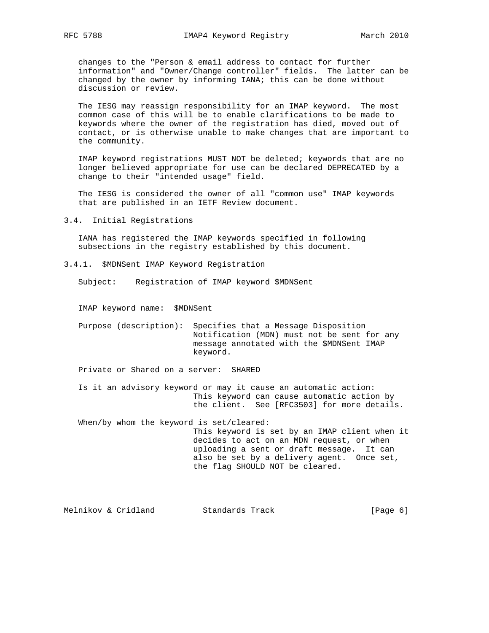changes to the "Person & email address to contact for further information" and "Owner/Change controller" fields. The latter can be changed by the owner by informing IANA; this can be done without discussion or review.

 The IESG may reassign responsibility for an IMAP keyword. The most common case of this will be to enable clarifications to be made to keywords where the owner of the registration has died, moved out of contact, or is otherwise unable to make changes that are important to the community.

 IMAP keyword registrations MUST NOT be deleted; keywords that are no longer believed appropriate for use can be declared DEPRECATED by a change to their "intended usage" field.

 The IESG is considered the owner of all "common use" IMAP keywords that are published in an IETF Review document.

3.4. Initial Registrations

 IANA has registered the IMAP keywords specified in following subsections in the registry established by this document.

3.4.1. \$MDNSent IMAP Keyword Registration

Subject: Registration of IMAP keyword \$MDNSent

IMAP keyword name: \$MDNSent

 Purpose (description): Specifies that a Message Disposition Notification (MDN) must not be sent for any message annotated with the \$MDNSent IMAP keyword.

Private or Shared on a server: SHARED

 Is it an advisory keyword or may it cause an automatic action: This keyword can cause automatic action by the client. See [RFC3503] for more details.

 When/by whom the keyword is set/cleared: This keyword is set by an IMAP client when it decides to act on an MDN request, or when uploading a sent or draft message. It can also be set by a delivery agent. Once set, the flag SHOULD NOT be cleared.

Melnikov & Cridland Standards Track [Page 6]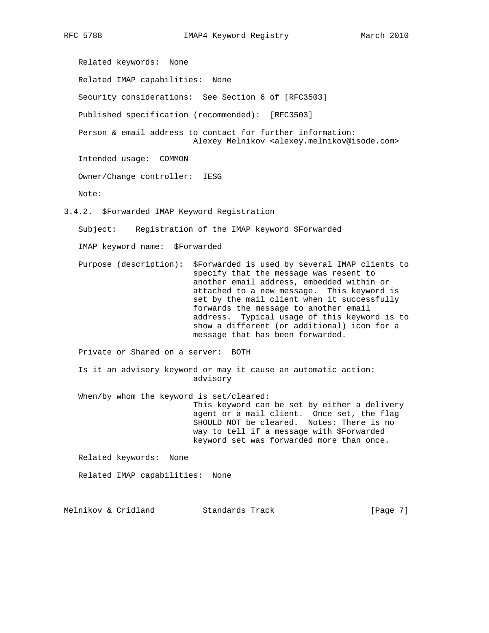Related keywords: None Related IMAP capabilities: None Security considerations: See Section 6 of [RFC3503] Published specification (recommended): [RFC3503] Person & email address to contact for further information: Alexey Melnikov <alexey.melnikov@isode.com> Intended usage: COMMON Owner/Change controller: IESG Note: 3.4.2. \$Forwarded IMAP Keyword Registration Subject: Registration of the IMAP keyword \$Forwarded IMAP keyword name: \$Forwarded Purpose (description): \$Forwarded is used by several IMAP clients to specify that the message was resent to another email address, embedded within or attached to a new message. This keyword is set by the mail client when it successfully forwards the message to another email address. Typical usage of this keyword is to show a different (or additional) icon for a message that has been forwarded. Private or Shared on a server: BOTH Is it an advisory keyword or may it cause an automatic action: advisory When/by whom the keyword is set/cleared: This keyword can be set by either a delivery agent or a mail client. Once set, the flag SHOULD NOT be cleared. Notes: There is no way to tell if a message with \$Forwarded keyword set was forwarded more than once. Related keywords: None Related IMAP capabilities: None

Melnikov & Cridland Standards Track [Page 7]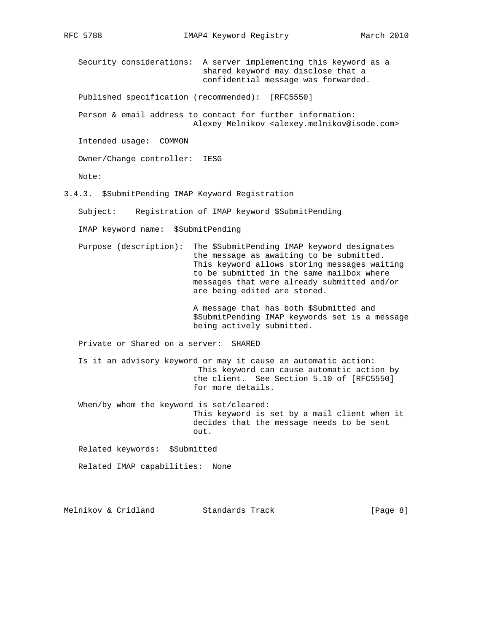Security considerations: A server implementing this keyword as a shared keyword may disclose that a confidential message was forwarded.

Published specification (recommended): [RFC5550]

 Person & email address to contact for further information: Alexey Melnikov <alexey.melnikov@isode.com>

Intended usage: COMMON

Owner/Change controller: IESG

Note:

3.4.3. \$SubmitPending IMAP Keyword Registration

Subject: Registration of IMAP keyword \$SubmitPending

IMAP keyword name: \$SubmitPending

 Purpose (description): The \$SubmitPending IMAP keyword designates the message as awaiting to be submitted. This keyword allows storing messages waiting to be submitted in the same mailbox where messages that were already submitted and/or are being edited are stored.

> A message that has both \$Submitted and \$SubmitPending IMAP keywords set is a message being actively submitted.

Private or Shared on a server: SHARED

 Is it an advisory keyword or may it cause an automatic action: This keyword can cause automatic action by the client. See Section 5.10 of [RFC5550] for more details.

 When/by whom the keyword is set/cleared: This keyword is set by a mail client when it decides that the message needs to be sent out.

Related keywords: \$Submitted

Related IMAP capabilities: None

Melnikov & Cridland Standards Track [Page 8]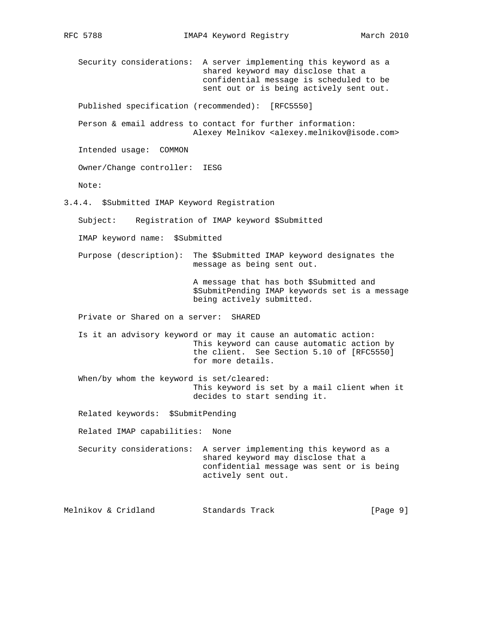Security considerations: A server implementing this keyword as a shared keyword may disclose that a confidential message is scheduled to be sent out or is being actively sent out. Published specification (recommended): [RFC5550] Person & email address to contact for further information: Alexey Melnikov <alexey.melnikov@isode.com> Intended usage: COMMON Owner/Change controller: IESG Note: 3.4.4. \$Submitted IMAP Keyword Registration Subject: Registration of IMAP keyword \$Submitted IMAP keyword name: \$Submitted Purpose (description): The \$Submitted IMAP keyword designates the message as being sent out. A message that has both \$Submitted and \$SubmitPending IMAP keywords set is a message being actively submitted. Private or Shared on a server: SHARED Is it an advisory keyword or may it cause an automatic action: This keyword can cause automatic action by the client. See Section 5.10 of [RFC5550] for more details. When/by whom the keyword is set/cleared: This keyword is set by a mail client when it decides to start sending it. Related keywords: \$SubmitPending Related IMAP capabilities: None Security considerations: A server implementing this keyword as a shared keyword may disclose that a confidential message was sent or is being actively sent out. Melnikov & Cridland Standards Track [Page 9]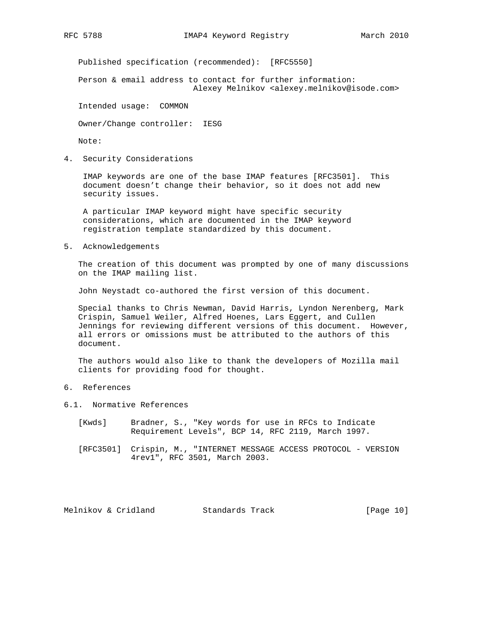Published specification (recommended): [RFC5550]

 Person & email address to contact for further information: Alexey Melnikov <alexey.melnikov@isode.com>

Intended usage: COMMON

Owner/Change controller: IESG

Note:

4. Security Considerations

 IMAP keywords are one of the base IMAP features [RFC3501]. This document doesn't change their behavior, so it does not add new security issues.

 A particular IMAP keyword might have specific security considerations, which are documented in the IMAP keyword registration template standardized by this document.

5. Acknowledgements

 The creation of this document was prompted by one of many discussions on the IMAP mailing list.

John Neystadt co-authored the first version of this document.

 Special thanks to Chris Newman, David Harris, Lyndon Nerenberg, Mark Crispin, Samuel Weiler, Alfred Hoenes, Lars Eggert, and Cullen Jennings for reviewing different versions of this document. However, all errors or omissions must be attributed to the authors of this document.

 The authors would also like to thank the developers of Mozilla mail clients for providing food for thought.

## 6. References

- 6.1. Normative References
	- [Kwds] Bradner, S., "Key words for use in RFCs to Indicate Requirement Levels", BCP 14, RFC 2119, March 1997.
	- [RFC3501] Crispin, M., "INTERNET MESSAGE ACCESS PROTOCOL VERSION 4rev1", RFC 3501, March 2003.

Melnikov & Cridland Standards Track [Page 10]